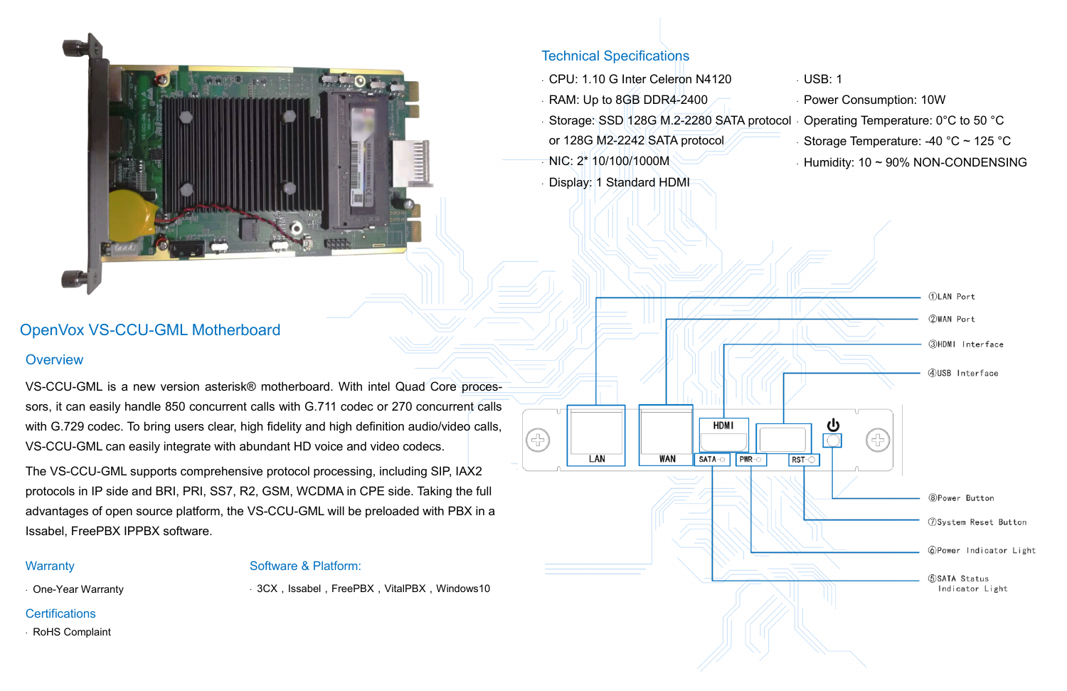# OpenVox VS-CCU-GML Motherboard

### **Overview**

VS-CCU-GML is a new version asterisk® motherboard. With intel Quad Core processors, it can easily handle 850 concurrent calls with G.711 codec or 270 concurrent calls with G.729 codec. To bring users clear, high fidelity and high definition audio/video calls, VS-CCU-GML can easily integrate with abundant HD voice and video codecs.

- CPU: 1.10 G Inter Celeron N4120
- RAM: Up to 8GB DDR4-2400
- $\cdot$  Storage: SSD 128G M.2-2280 SATA protocol  $\cdot$  Operating Temperature: 0°C to 50 °C or 128G M2-2242 SATA protocol Storage Temperature: -40  $^{\circ}$ C ~ 125  $^{\circ}$ C

**HDMI** 

PWR-C

SATA-O

**WAN** 

- USB: 1
- Power Consumption: 10W
- $\cdot$  Humidity: 10  $\sim$  90% NON-CONDENSING



The VS-CCU-GML supports comprehensive protocol processing, including SIP, IAX2 protocols in IP side and BRI, PRI, SS7, R2, GSM, WCDMA in CPE side. Taking the full advantages of open source platform, the VS-CCU-GML will be preloaded with PBX in a Issabel, FreePBX IPPBX software.

#### **Warranty**

### Technical Specifications

NIC: 2\* 10/100/1000M

LAN

3

Display: 1 Standard HDMI

RoHS Complaint

#### Software & Platform:

One-Year Warranty

 $\cdot$  3CX, Issabel, FreePBX, VitalPBX, Windows10

#### **Certifications**